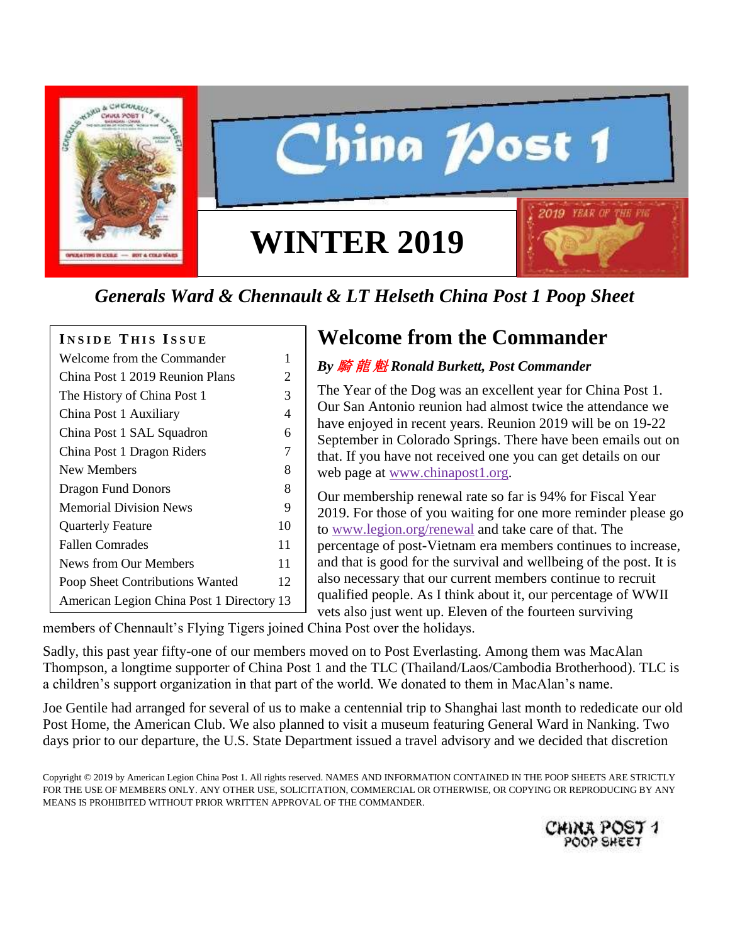

# hina *1*Jost 1 2019 **YEAR OF WINTER 2019**

# *Generals Ward & Chennault & LT Helseth China Post 1 Poop Sheet*

#### **I N S I D E T H I S I S S U E**

| Welcome from the Commander                | 1  |
|-------------------------------------------|----|
| China Post 1 2019 Reunion Plans           | 2  |
| The History of China Post 1               | 3  |
| China Post 1 Auxiliary                    | 4  |
| China Post 1 SAL Squadron                 | 6  |
| China Post 1 Dragon Riders                | 7  |
| New Members                               | 8  |
| <b>Dragon Fund Donors</b>                 | 8  |
| <b>Memorial Division News</b>             | 9  |
| <b>Quarterly Feature</b>                  | 10 |
| <b>Fallen Comrades</b>                    | 11 |
| <b>News from Our Members</b>              | 11 |
| Poop Sheet Contributions Wanted           | 12 |
| American Legion China Post 1 Directory 13 |    |

## **Welcome from the Commander**

#### *By* 騎 龍 魁 *Ronald Burkett, Post Commander*

The Year of the Dog was an excellent year for China Post 1. Our San Antonio reunion had almost twice the attendance we have enjoyed in recent years. Reunion 2019 will be on 19-22 September in Colorado Springs. There have been emails out on that. If you have not received one you can get details on our web page at [www.chinapost1.org.](http://www.chinapost1.org/)

Our membership renewal rate so far is 94% for Fiscal Year 2019. For those of you waiting for one more reminder please go to [www.legion.org/renewal](http://www.legion.org/renewal) and take care of that. The percentage of post-Vietnam era members continues to increase, and that is good for the survival and wellbeing of the post. It is also necessary that our current members continue to recruit qualified people. As I think about it, our percentage of WWII vets also just went up. Eleven of the fourteen surviving

members of Chennault's Flying Tigers joined China Post over the holidays.

Sadly, this past year fifty-one of our members moved on to Post Everlasting. Among them was MacAlan Thompson, a longtime supporter of China Post 1 and the TLC (Thailand/Laos/Cambodia Brotherhood). TLC is a children's support organization in that part of the world. We donated to them in MacAlan's name.

Joe Gentile had arranged for several of us to make a centennial trip to Shanghai last month to rededicate our old Post Home, the American Club. We also planned to visit a museum featuring General Ward in Nanking. Two days prior to our departure, the U.S. State Department issued a travel advisory and we decided that discretion

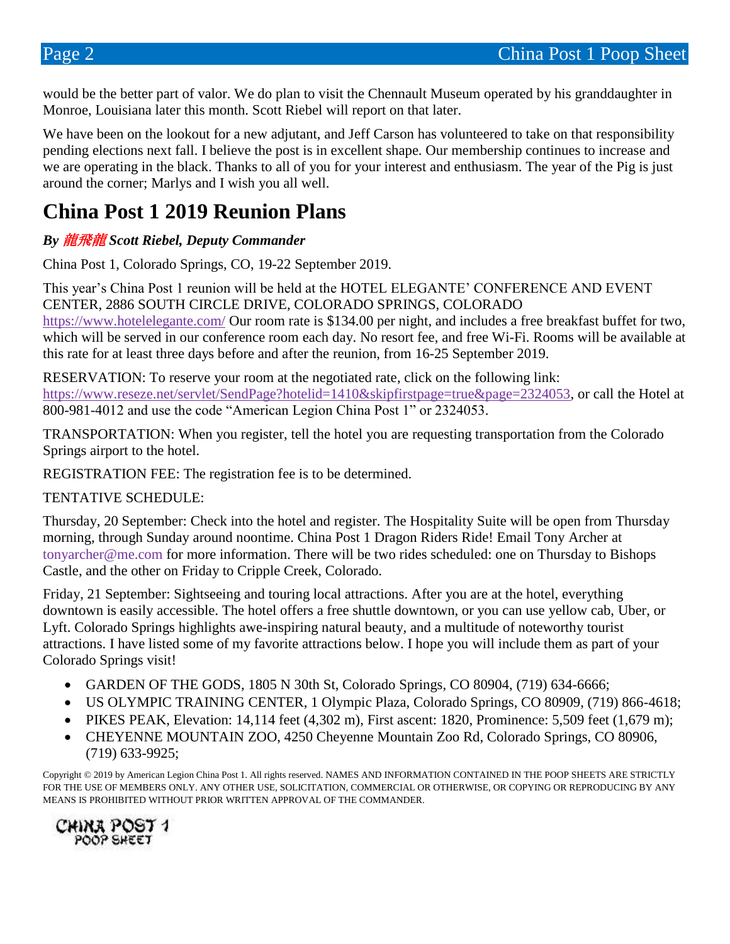would be the better part of valor. We do plan to visit the Chennault Museum operated by his granddaughter in Monroe, Louisiana later this month. Scott Riebel will report on that later.

We have been on the lookout for a new adjutant, and Jeff Carson has volunteered to take on that responsibility pending elections next fall. I believe the post is in excellent shape. Our membership continues to increase and we are operating in the black. Thanks to all of you for your interest and enthusiasm. The year of the Pig is just around the corner; Marlys and I wish you all well.

### **China Post 1 2019 Reunion Plans**

#### *By* 龍飛龍 *Scott Riebel, Deputy Commander*

China Post 1, Colorado Springs, CO, 19-22 September 2019.

This year's China Post 1 reunion will be held at the HOTEL ELEGANTE' CONFERENCE AND EVENT CENTER, 2886 SOUTH CIRCLE DRIVE, COLORADO SPRINGS, COLORADO <https://www.hotelelegante.com/> Our room rate is \$134.00 per night, and includes a free breakfast buffet for two, which will be served in our conference room each day. No resort fee, and free Wi-Fi. Rooms will be available at this rate for at least three days before and after the reunion, from 16-25 September 2019.

RESERVATION: To reserve your room at the negotiated rate, click on the following link: [https://www.reseze.net/servlet/SendPage?hotelid=1410&skipfirstpage=true&page=2324053,](https://www.reseze.net/servlet/SendPage?hotelid=1410&skipfirstpage=true&page=2324053) or call the Hotel at 800-981-4012 and use the code "American Legion China Post 1" or 2324053.

TRANSPORTATION: When you register, tell the hotel you are requesting transportation from the Colorado Springs airport to the hotel.

REGISTRATION FEE: The registration fee is to be determined.

TENTATIVE SCHEDULE:

Thursday, 20 September: Check into the hotel and register. The Hospitality Suite will be open from Thursday morning, through Sunday around noontime. China Post 1 Dragon Riders Ride! Email Tony Archer at tonyarcher@me.com for more information. There will be two rides scheduled: one on Thursday to Bishops Castle, and the other on Friday to Cripple Creek, Colorado.

Friday, 21 September: Sightseeing and touring local attractions. After you are at the hotel, everything downtown is easily accessible. The hotel offers a free shuttle downtown, or you can use yellow cab, Uber, or Lyft. Colorado Springs highlights awe-inspiring natural beauty, and a multitude of noteworthy tourist attractions. I have listed some of my favorite attractions below. I hope you will include them as part of your Colorado Springs visit!

- GARDEN OF THE GODS, 1805 N 30th St, Colorado Springs, CO 80904, (719) 634-6666;
- US OLYMPIC TRAINING CENTER, 1 Olympic Plaza, Colorado Springs, CO 80909, (719) 866-4618;
- PIKES PEAK, Elevation: 14,114 feet  $(4,302 \text{ m})$ , First ascent: 1820, Prominence: 5,509 feet  $(1,679 \text{ m})$ ;
- CHEYENNE MOUNTAIN ZOO, 4250 Cheyenne Mountain Zoo Rd, Colorado Springs, CO 80906, (719) 633-9925;

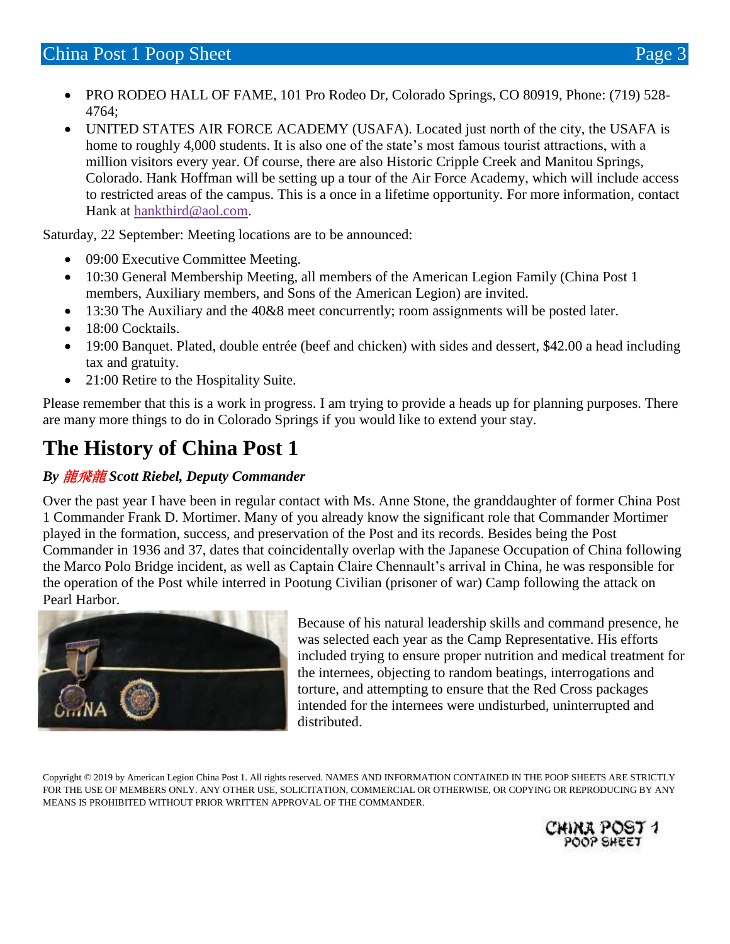- PRO RODEO HALL OF FAME, 101 Pro Rodeo Dr, Colorado Springs, CO 80919, Phone: (719) 528- 4764;
- UNITED STATES AIR FORCE ACADEMY (USAFA). Located just north of the city, the USAFA is home to roughly 4,000 students. It is also one of the state's most famous tourist attractions, with a million visitors every year. Of course, there are also Historic Cripple Creek and Manitou Springs, Colorado. Hank Hoffman will be setting up a tour of the Air Force Academy, which will include access to restricted areas of the campus. This is a once in a lifetime opportunity. For more information, contact Hank at [hankthird@aol.com.](mailto:hankthird@aol.com)

Saturday, 22 September: Meeting locations are to be announced:

- 09:00 Executive Committee Meeting.
- 10:30 General Membership Meeting, all members of the American Legion Family (China Post 1) members, Auxiliary members, and Sons of the American Legion) are invited.
- 13:30 The Auxiliary and the 40&8 meet concurrently; room assignments will be posted later.
- 18:00 Cocktails.
- 19:00 Banquet. Plated, double entrée (beef and chicken) with sides and dessert, \$42.00 a head including tax and gratuity.
- 21:00 Retire to the Hospitality Suite.

Please remember that this is a work in progress. I am trying to provide a heads up for planning purposes. There are many more things to do in Colorado Springs if you would like to extend your stay.

## **The History of China Post 1**

#### *By* 龍飛龍 *Scott Riebel, Deputy Commander*

Over the past year I have been in regular contact with Ms. Anne Stone, the granddaughter of former China Post 1 Commander Frank D. Mortimer. Many of you already know the significant role that Commander Mortimer played in the formation, success, and preservation of the Post and its records. Besides being the Post Commander in 1936 and 37, dates that coincidentally overlap with the Japanese Occupation of China following the Marco Polo Bridge incident, as well as Captain Claire Chennault's arrival in China, he was responsible for the operation of the Post while interred in Pootung Civilian (prisoner of war) Camp following the attack on Pearl Harbor.



Because of his natural leadership skills and command presence, he was selected each year as the Camp Representative. His efforts included trying to ensure proper nutrition and medical treatment for the internees, objecting to random beatings, interrogations and torture, and attempting to ensure that the Red Cross packages intended for the internees were undisturbed, uninterrupted and distributed.

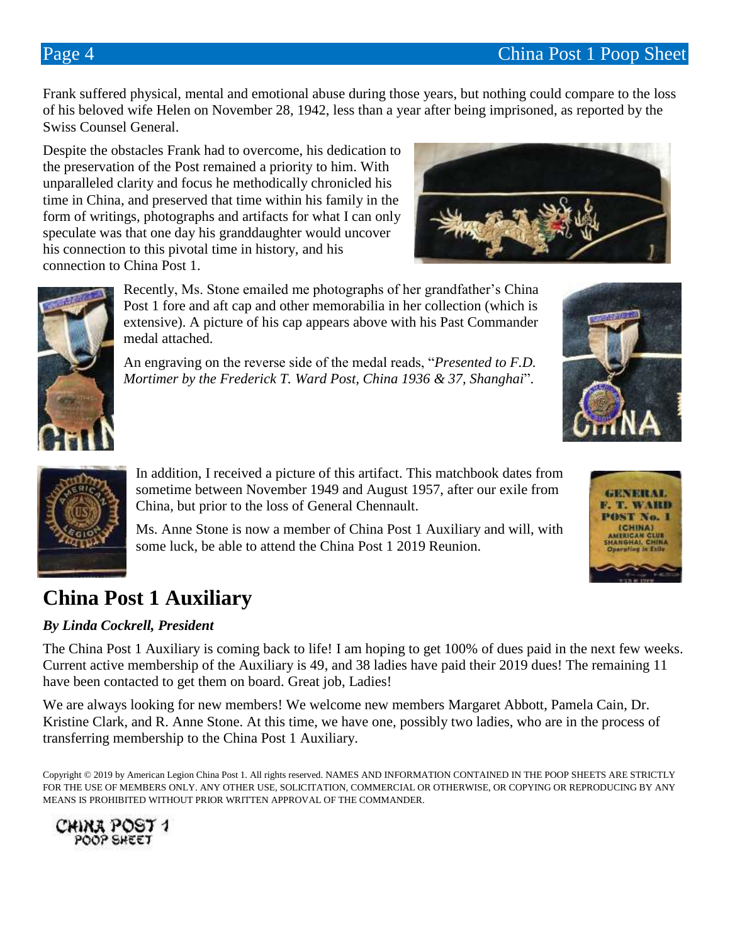Frank suffered physical, mental and emotional abuse during those years, but nothing could compare to the loss of his beloved wife Helen on November 28, 1942, less than a year after being imprisoned, as reported by the Swiss Counsel General.

Despite the obstacles Frank had to overcome, his dedication to the preservation of the Post remained a priority to him. With unparalleled clarity and focus he methodically chronicled his time in China, and preserved that time within his family in the form of writings, photographs and artifacts for what I can only speculate was that one day his granddaughter would uncover his connection to this pivotal time in history, and his connection to China Post 1.





Recently, Ms. Stone emailed me photographs of her grandfather's China Post 1 fore and aft cap and other memorabilia in her collection (which is extensive). A picture of his cap appears above with his Past Commander medal attached.

An engraving on the reverse side of the medal reads, "*Presented to F.D. Mortimer by the Frederick T. Ward Post, China 1936 & 37, Shanghai*".





In addition, I received a picture of this artifact. This matchbook dates from sometime between November 1949 and August 1957, after our exile from China, but prior to the loss of General Chennault.

Ms. Anne Stone is now a member of China Post 1 Auxiliary and will, with some luck, be able to attend the China Post 1 2019 Reunion.

## **China Post 1 Auxiliary**

#### *By Linda Cockrell, President*

The China Post 1 Auxiliary is coming back to life! I am hoping to get 100% of dues paid in the next few weeks. Current active membership of the Auxiliary is 49, and 38 ladies have paid their 2019 dues! The remaining 11 have been contacted to get them on board. Great job, Ladies!

We are always looking for new members! We welcome new members Margaret Abbott, Pamela Cain, Dr. Kristine Clark, and R. Anne Stone. At this time, we have one, possibly two ladies, who are in the process of transferring membership to the China Post 1 Auxiliary.



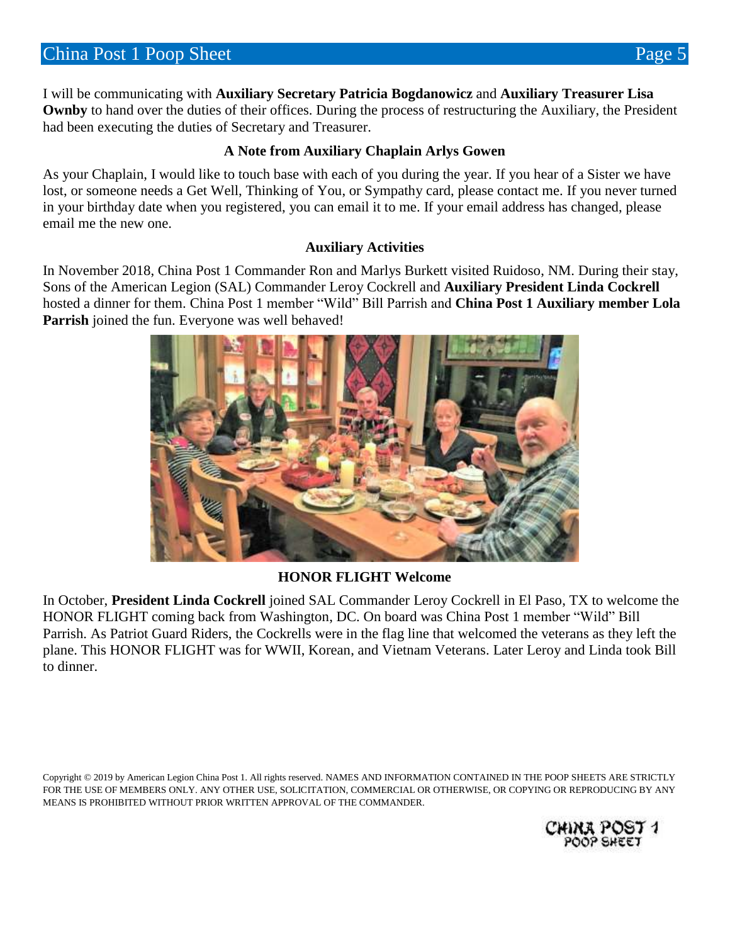I will be communicating with **Auxiliary Secretary Patricia Bogdanowicz** and **Auxiliary Treasurer Lisa Ownby** to hand over the duties of their offices. During the process of restructuring the Auxiliary, the President had been executing the duties of Secretary and Treasurer.

#### **A Note from Auxiliary Chaplain Arlys Gowen**

As your Chaplain, I would like to touch base with each of you during the year. If you hear of a Sister we have lost, or someone needs a Get Well, Thinking of You, or Sympathy card, please contact me. If you never turned in your birthday date when you registered, you can email it to me. If your email address has changed, please email me the new one.

#### **Auxiliary Activities**

In November 2018, China Post 1 Commander Ron and Marlys Burkett visited Ruidoso, NM. During their stay, Sons of the American Legion (SAL) Commander Leroy Cockrell and **Auxiliary President Linda Cockrell** hosted a dinner for them. China Post 1 member "Wild" Bill Parrish and **China Post 1 Auxiliary member Lola Parrish** joined the fun. Everyone was well behaved!



#### **HONOR FLIGHT Welcome**

In October, **President Linda Cockrell** joined SAL Commander Leroy Cockrell in El Paso, TX to welcome the HONOR FLIGHT coming back from Washington, DC. On board was China Post 1 member "Wild" Bill Parrish. As Patriot Guard Riders, the Cockrells were in the flag line that welcomed the veterans as they left the plane. This HONOR FLIGHT was for WWII, Korean, and Vietnam Veterans. Later Leroy and Linda took Bill to dinner.

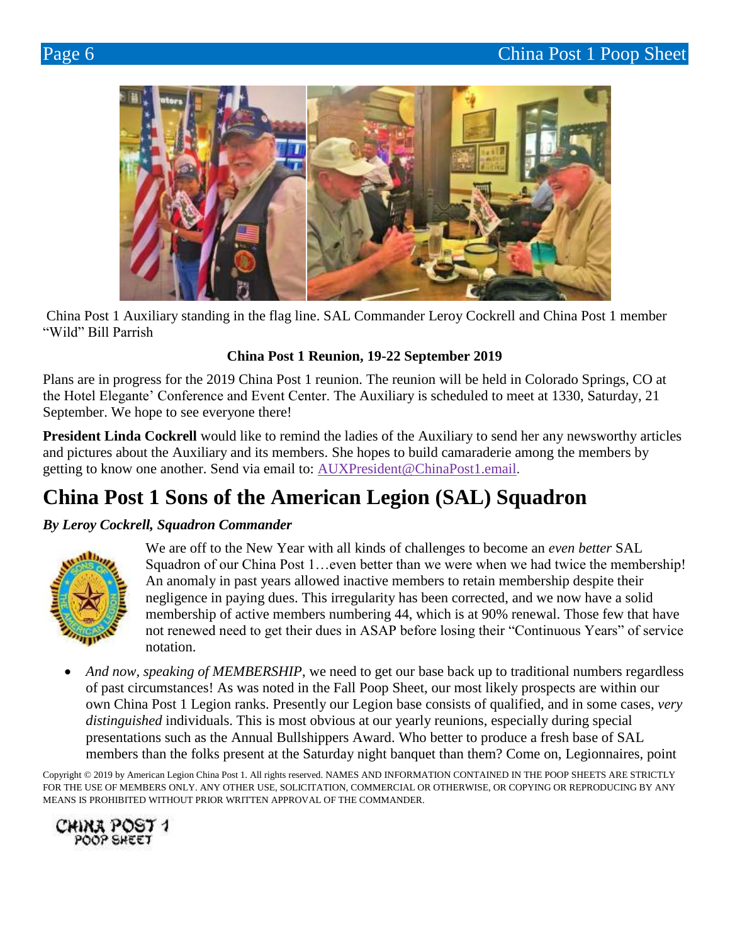

China Post 1 Auxiliary standing in the flag line. SAL Commander Leroy Cockrell and China Post 1 member "Wild" Bill Parrish

#### **China Post 1 Reunion, 19-22 September 2019**

Plans are in progress for the 2019 China Post 1 reunion. The reunion will be held in Colorado Springs, CO at the Hotel Elegante' Conference and Event Center. The Auxiliary is scheduled to meet at 1330, Saturday, 21 September. We hope to see everyone there!

**President Linda Cockrell** would like to remind the ladies of the Auxiliary to send her any newsworthy articles and pictures about the Auxiliary and its members. She hopes to build camaraderie among the members by getting to know one another. Send via email to: [AUXPresident@ChinaPost1.email](mailto:AUXPresident@ChinaPost1.email).

## **China Post 1 Sons of the American Legion (SAL) Squadron**

#### *By Leroy Cockrell, Squadron Commander*



We are off to the New Year with all kinds of challenges to become an *even better* SAL Squadron of our China Post 1...even better than we were when we had twice the membership! An anomaly in past years allowed inactive members to retain membership despite their negligence in paying dues. This irregularity has been corrected, and we now have a solid membership of active members numbering 44, which is at 90% renewal. Those few that have not renewed need to get their dues in ASAP before losing their "Continuous Years" of service notation.

 *And now, speaking of MEMBERSHIP*, we need to get our base back up to traditional numbers regardless of past circumstances! As was noted in the Fall Poop Sheet, our most likely prospects are within our own China Post 1 Legion ranks. Presently our Legion base consists of qualified, and in some cases, *very distinguished* individuals. This is most obvious at our yearly reunions, especially during special presentations such as the Annual Bullshippers Award. Who better to produce a fresh base of SAL members than the folks present at the Saturday night banquet than them? Come on, Legionnaires, point

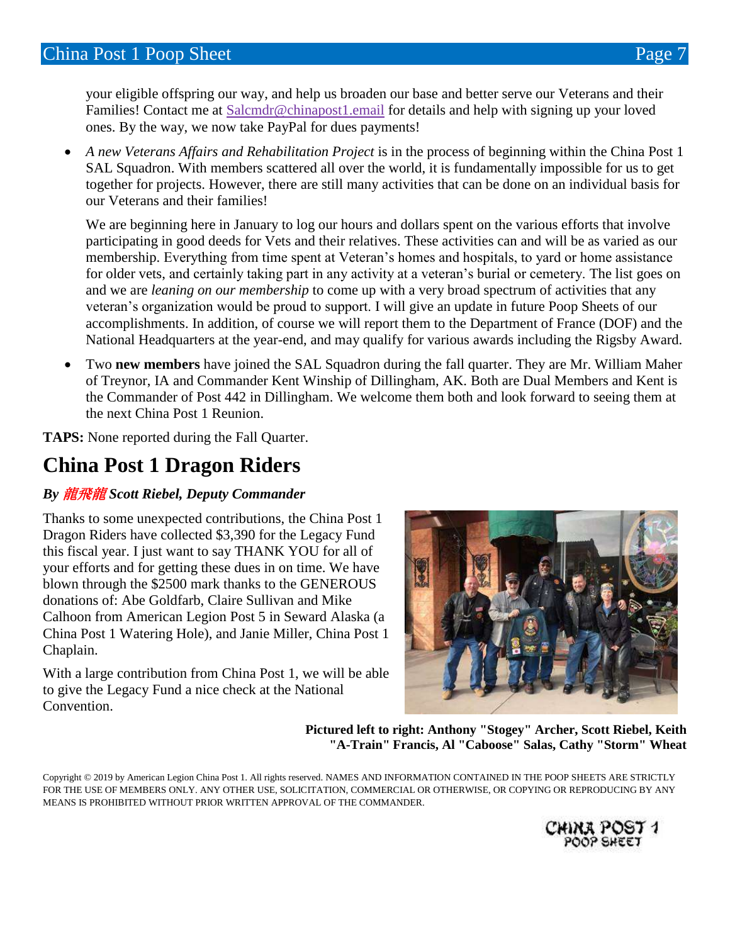your eligible offspring our way, and help us broaden our base and better serve our Veterans and their Families! Contact me at [Salcmdr@chinapost1.email](mailto:Salcmdr@chinapost1.email) for details and help with signing up your loved ones. By the way, we now take PayPal for dues payments!

 *A new Veterans Affairs and Rehabilitation Project* is in the process of beginning within the China Post 1 SAL Squadron. With members scattered all over the world, it is fundamentally impossible for us to get together for projects. However, there are still many activities that can be done on an individual basis for our Veterans and their families!

We are beginning here in January to log our hours and dollars spent on the various efforts that involve participating in good deeds for Vets and their relatives. These activities can and will be as varied as our membership. Everything from time spent at Veteran's homes and hospitals, to yard or home assistance for older vets, and certainly taking part in any activity at a veteran's burial or cemetery. The list goes on and we are *leaning on our membership* to come up with a very broad spectrum of activities that any veteran's organization would be proud to support. I will give an update in future Poop Sheets of our accomplishments. In addition, of course we will report them to the Department of France (DOF) and the National Headquarters at the year-end, and may qualify for various awards including the Rigsby Award.

 Two **new members** have joined the SAL Squadron during the fall quarter. They are Mr. William Maher of Treynor, IA and Commander Kent Winship of Dillingham, AK. Both are Dual Members and Kent is the Commander of Post 442 in Dillingham. We welcome them both and look forward to seeing them at the next China Post 1 Reunion.

**TAPS:** None reported during the Fall Quarter.

### **China Post 1 Dragon Riders**

#### *By* 龍飛龍 *Scott Riebel, Deputy Commander*

Thanks to some unexpected contributions, the China Post 1 Dragon Riders have collected \$3,390 for the Legacy Fund this fiscal year. I just want to say THANK YOU for all of your efforts and for getting these dues in on time. We have blown through the \$2500 mark thanks to the GENEROUS donations of: Abe Goldfarb, Claire Sullivan and Mike Calhoon from American Legion Post 5 in Seward Alaska (a China Post 1 Watering Hole), and Janie Miller, China Post 1 Chaplain.

With a large contribution from China Post 1, we will be able to give the Legacy Fund a nice check at the National Convention.



**Pictured left to right: Anthony "Stogey" Archer, Scott Riebel, Keith "A-Train" Francis, Al "Caboose" Salas, Cathy "Storm" Wheat**

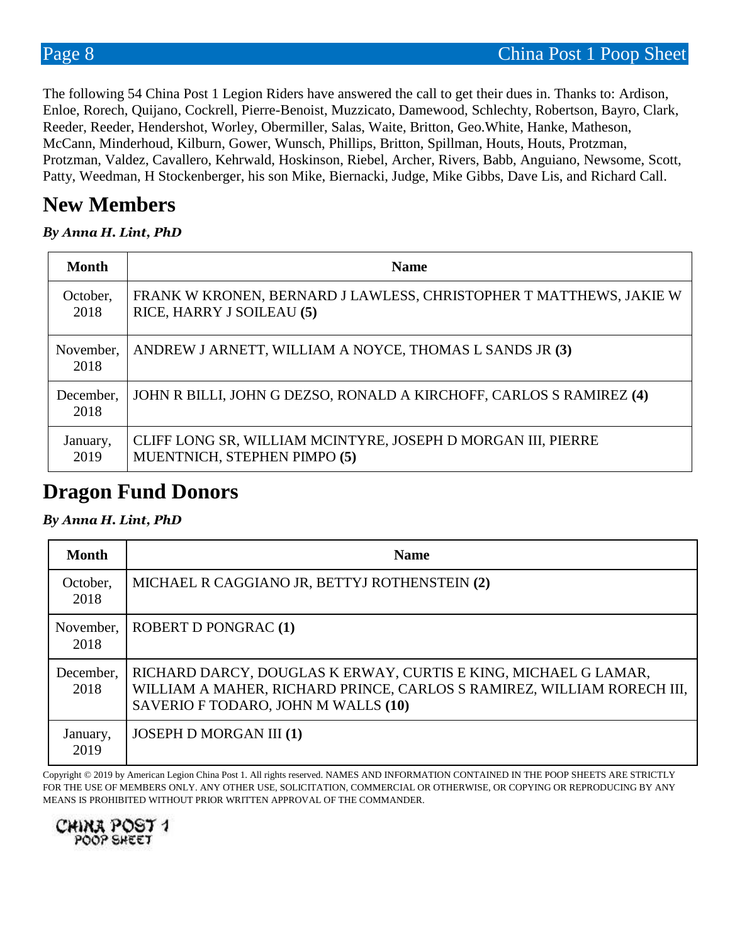The following 54 China Post 1 Legion Riders have answered the call to get their dues in. Thanks to: Ardison, Enloe, Rorech, Quijano, Cockrell, Pierre-Benoist, Muzzicato, Damewood, Schlechty, Robertson, Bayro, Clark, Reeder, Reeder, Hendershot, Worley, Obermiller, Salas, Waite, Britton, Geo.White, Hanke, Matheson, McCann, Minderhoud, Kilburn, Gower, Wunsch, Phillips, Britton, Spillman, Houts, Houts, Protzman, Protzman, Valdez, Cavallero, Kehrwald, Hoskinson, Riebel, Archer, Rivers, Babb, Anguiano, Newsome, Scott, Patty, Weedman, H Stockenberger, his son Mike, Biernacki, Judge, Mike Gibbs, Dave Lis, and Richard Call.

### **New Members**

#### *By Anna H. Lint, PhD*

| <b>Month</b>      | <b>Name</b>                                                                                     |
|-------------------|-------------------------------------------------------------------------------------------------|
| October.<br>2018  | FRANK W KRONEN, BERNARD J LAWLESS, CHRISTOPHER T MATTHEWS, JAKIE W<br>RICE, HARRY J SOILEAU (5) |
| November,<br>2018 | ANDREW J ARNETT, WILLIAM A NOYCE, THOMAS L SANDS JR (3)                                         |
| December,<br>2018 | JOHN R BILLI, JOHN G DEZSO, RONALD A KIRCHOFF, CARLOS S RAMIREZ (4)                             |
| January,<br>2019  | CLIFF LONG SR, WILLIAM MCINTYRE, JOSEPH D MORGAN III, PIERRE<br>MUENTNICH, STEPHEN PIMPO (5)    |

### **Dragon Fund Donors**

#### *By Anna H. Lint, PhD*

| <b>Month</b>      | <b>Name</b>                                                                                                                                                                      |
|-------------------|----------------------------------------------------------------------------------------------------------------------------------------------------------------------------------|
| October,<br>2018  | MICHAEL R CAGGIANO JR, BETTYJ ROTHENSTEIN (2)                                                                                                                                    |
| November,<br>2018 | ROBERT D PONGRAC (1)                                                                                                                                                             |
| December,<br>2018 | RICHARD DARCY, DOUGLAS K ERWAY, CURTIS E KING, MICHAEL G LAMAR,<br>WILLIAM A MAHER, RICHARD PRINCE, CARLOS S RAMIREZ, WILLIAM RORECH III,<br>SAVERIO F TODARO, JOHN M WALLS (10) |
| January,<br>2019  | <b>JOSEPH D MORGAN III (1)</b>                                                                                                                                                   |

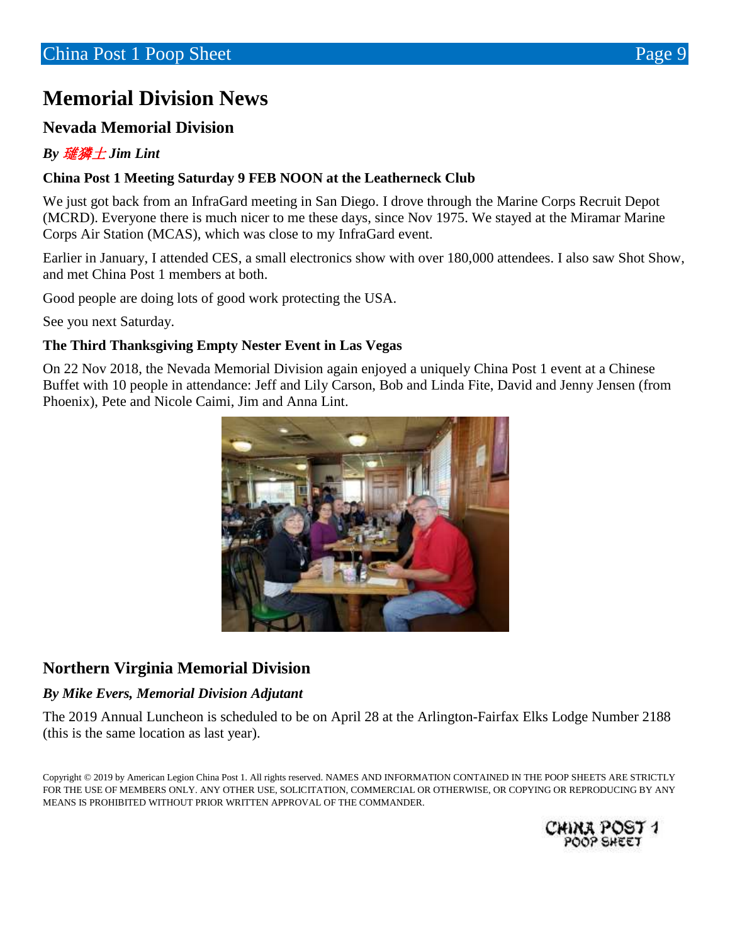## **Memorial Division News**

#### **Nevada Memorial Division**

#### *By* 璡獜土 *Jim Lint*

#### **China Post 1 Meeting Saturday 9 FEB NOON at the Leatherneck Club**

We just got back from an InfraGard meeting in San Diego. I drove through the Marine Corps Recruit Depot (MCRD). Everyone there is much nicer to me these days, since Nov 1975. We stayed at the Miramar Marine Corps Air Station (MCAS), which was close to my InfraGard event.

Earlier in January, I attended CES, a small electronics show with over 180,000 attendees. I also saw Shot Show, and met China Post 1 members at both.

Good people are doing lots of good work protecting the USA.

See you next Saturday.

#### **The Third Thanksgiving Empty Nester Event in Las Vegas**

On 22 Nov 2018, the Nevada Memorial Division again enjoyed a uniquely China Post 1 event at a Chinese Buffet with 10 people in attendance: Jeff and Lily Carson, Bob and Linda Fite, David and Jenny Jensen (from Phoenix), Pete and Nicole Caimi, Jim and Anna Lint.



#### **Northern Virginia Memorial Division**

#### *By Mike Evers, Memorial Division Adjutant*

The 2019 Annual Luncheon is scheduled to be on April 28 at the Arlington-Fairfax Elks Lodge Number 2188 (this is the same location as last year).

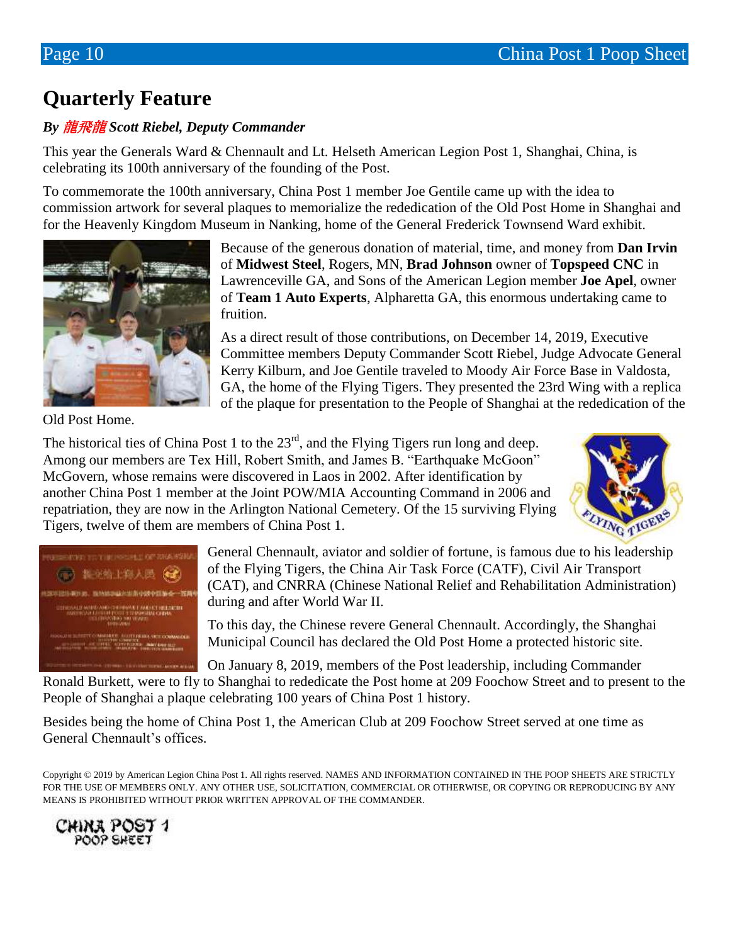## **Quarterly Feature**

#### *By* 龍飛龍 *Scott Riebel, Deputy Commander*

This year the Generals Ward & Chennault and Lt. Helseth American Legion Post 1, Shanghai, China, is celebrating its 100th anniversary of the founding of the Post.

To commemorate the 100th anniversary, China Post 1 member Joe Gentile came up with the idea to commission artwork for several plaques to memorialize the rededication of the Old Post Home in Shanghai and for the Heavenly Kingdom Museum in Nanking, home of the General Frederick Townsend Ward exhibit.



Because of the generous donation of material, time, and money from **Dan Irvin** of **Midwest Steel**, Rogers, MN, **Brad Johnson** owner of **Topspeed CNC** in Lawrenceville GA, and Sons of the American Legion member **Joe Apel**, owner of **Team 1 Auto Experts**, Alpharetta GA, this enormous undertaking came to fruition.

As a direct result of those contributions, on December 14, 2019, Executive Committee members Deputy Commander Scott Riebel, Judge Advocate General Kerry Kilburn, and Joe Gentile traveled to Moody Air Force Base in Valdosta, GA, the home of the Flying Tigers. They presented the 23rd Wing with a replica of the plaque for presentation to the People of Shanghai at the rededication of the

Old Post Home.

The historical ties of China Post 1 to the  $23<sup>rd</sup>$ , and the Flying Tigers run long and deep. Among our members are Tex Hill, Robert Smith, and James B. "Earthquake McGoon" McGovern, whose remains were discovered in Laos in 2002. After identification by another China Post 1 member at the Joint POW/MIA Accounting Command in 2006 and repatriation, they are now in the Arlington National Cemetery. Of the 15 surviving Flying Tigers, twelve of them are members of China Post 1.





General Chennault, aviator and soldier of fortune, is famous due to his leadership of the Flying Tigers, the China Air Task Force (CATF), Civil Air Transport (CAT), and CNRRA (Chinese National Relief and Rehabilitation Administration) during and after World War II.

To this day, the Chinese revere General Chennault. Accordingly, the Shanghai Municipal Council has declared the Old Post Home a protected historic site.

On January 8, 2019, members of the Post leadership, including Commander Ronald Burkett, were to fly to Shanghai to rededicate the Post home at 209 Foochow Street and to present to the People of Shanghai a plaque celebrating 100 years of China Post 1 history.

Besides being the home of China Post 1, the American Club at 209 Foochow Street served at one time as General Chennault's offices.

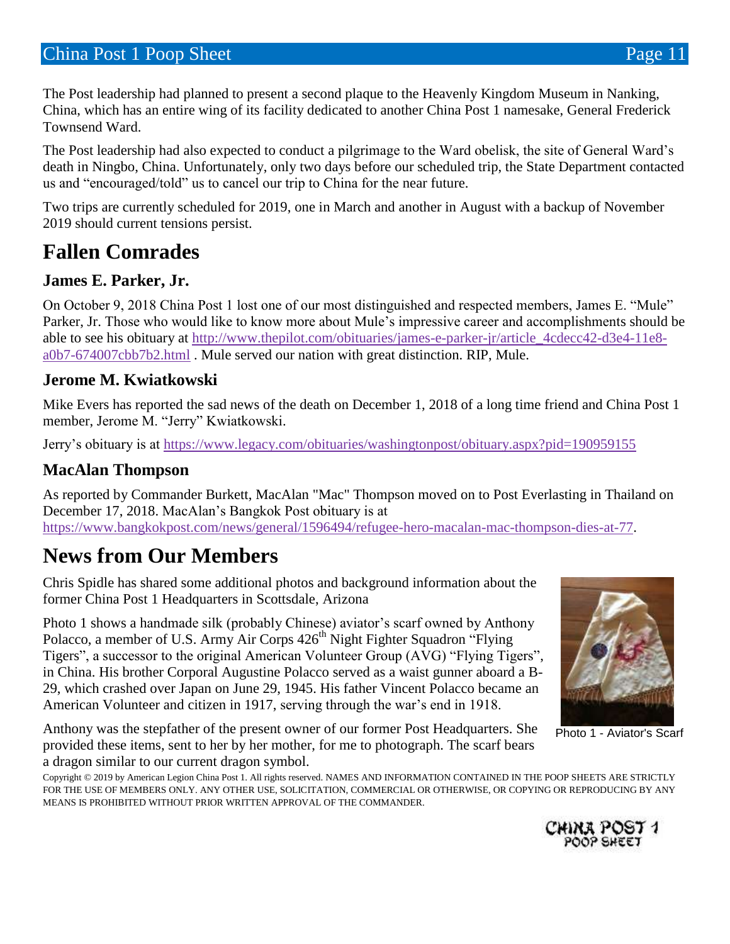The Post leadership had planned to present a second plaque to the Heavenly Kingdom Museum in Nanking, China, which has an entire wing of its facility dedicated to another China Post 1 namesake, General Frederick Townsend Ward.

The Post leadership had also expected to conduct a pilgrimage to the Ward obelisk, the site of General Ward's death in Ningbo, China. Unfortunately, only two days before our scheduled trip, the State Department contacted us and "encouraged/told" us to cancel our trip to China for the near future.

Two trips are currently scheduled for 2019, one in March and another in August with a backup of November 2019 should current tensions persist.

### **Fallen Comrades**

### **James E. Parker, Jr.**

On October 9, 2018 China Post 1 lost one of our most distinguished and respected members, James E. "Mule" Parker, Jr. Those who would like to know more about Mule's impressive career and accomplishments should be able to see his obituary at [http://www.thepilot.com/obituaries/james-e-parker-jr/article\\_4cdecc42-d3e4-11e8](http://www.thepilot.com/obituaries/james-e-parker-jr/article_4cdecc42-d3e4-11e8-a0b7-674007cbb7b2.html) [a0b7-674007cbb7b2.html](http://www.thepilot.com/obituaries/james-e-parker-jr/article_4cdecc42-d3e4-11e8-a0b7-674007cbb7b2.html) . Mule served our nation with great distinction. RIP, Mule.

#### **Jerome M. Kwiatkowski**

Mike Evers has reported the sad news of the death on December 1, 2018 of a long time friend and China Post 1 member, Jerome M. "Jerry" Kwiatkowski.

Jerry's obituary is at<https://www.legacy.com/obituaries/washingtonpost/obituary.aspx?pid=190959155>

#### **MacAlan Thompson**

As reported by Commander Burkett, MacAlan "Mac" Thompson moved on to Post Everlasting in Thailand on December 17, 2018. MacAlan's Bangkok Post obituary is at [https://www.bangkokpost.com/news/general/1596494/refugee-hero-macalan-mac-thompson-dies-at-77.](https://www.bangkokpost.com/news/general/1596494/refugee-hero-macalan-mac-thompson-dies-at-77)

### **News from Our Members**

Chris Spidle has shared some additional photos and background information about the former China Post 1 Headquarters in Scottsdale, Arizona

Photo 1 shows a handmade silk (probably Chinese) aviator's scarf owned by Anthony Polacco, a member of U.S. Army Air Corps 426<sup>th</sup> Night Fighter Squadron "Flying Tigers", a successor to the original American Volunteer Group (AVG) "Flying Tigers", in China. His brother Corporal Augustine Polacco served as a waist gunner aboard a B-29, which crashed over Japan on June 29, 1945. His father Vincent Polacco became an American Volunteer and citizen in 1917, serving through the war's end in 1918.

Anthony was the stepfather of the present owner of our former Post Headquarters. She provided these items, sent to her by her mother, for me to photograph. The scarf bears a dragon similar to our current dragon symbol.



Photo 1 - Aviator's Scarf

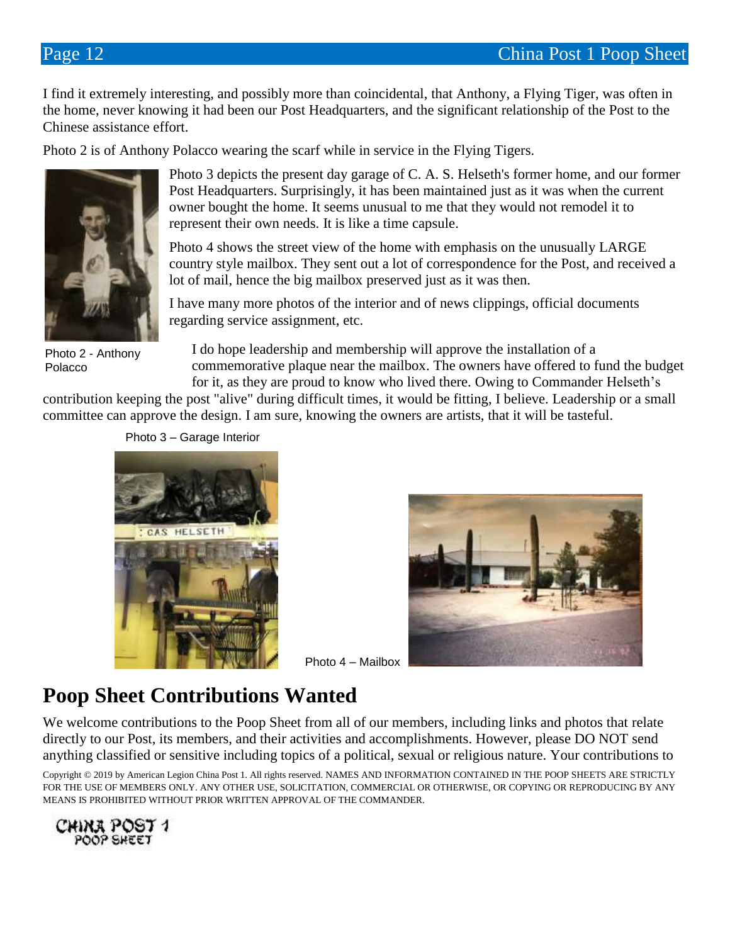I find it extremely interesting, and possibly more than coincidental, that Anthony, a Flying Tiger, was often in the home, never knowing it had been our Post Headquarters, and the significant relationship of the Post to the Chinese assistance effort.

Photo 2 is of Anthony Polacco wearing the scarf while in service in the Flying Tigers.



Photo 2 - Anthony Polacco

Photo 3 depicts the present day garage of C. A. S. Helseth's former home, and our former Post Headquarters. Surprisingly, it has been maintained just as it was when the current owner bought the home. It seems unusual to me that they would not remodel it to represent their own needs. It is like a time capsule.

Photo 4 shows the street view of the home with emphasis on the unusually LARGE country style mailbox. They sent out a lot of correspondence for the Post, and received a lot of mail, hence the big mailbox preserved just as it was then.

I have many more photos of the interior and of news clippings, official documents regarding service assignment, etc.

I do hope leadership and membership will approve the installation of a commemorative plaque near the mailbox. The owners have offered to fund the budget for it, as they are proud to know who lived there. Owing to Commander Helseth's

contribution keeping the post "alive" during difficult times, it would be fitting, I believe. Leadership or a small committee can approve the design. I am sure, knowing the owners are artists, that it will be tasteful.





Photo 4 – Mailbox

## **Poop Sheet Contributions Wanted**

We welcome contributions to the Poop Sheet from all of our members, including links and photos that relate directly to our Post, its members, and their activities and accomplishments. However, please DO NOT send anything classified or sensitive including topics of a political, sexual or religious nature. Your contributions to